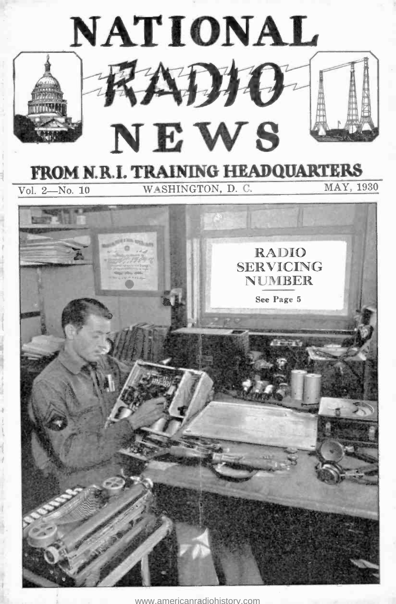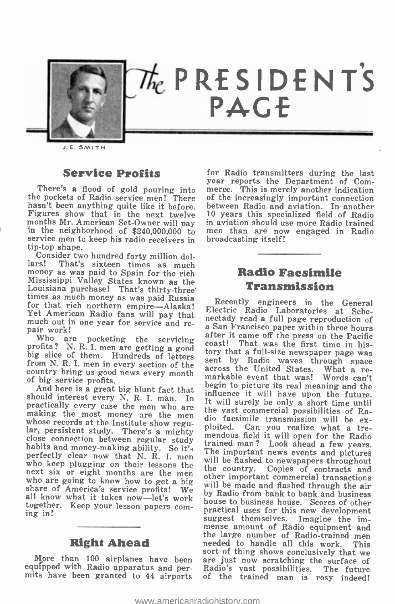

J. E. SMITH

#### **Service Profits**

months Mr. American Set-Owner will pay in aviation should use more Radio trained<br>in the neighborhood of \$240,000,000 to men than are now engaged in Radio<br>service men to keep his radio receivers in tip-top shape.<br>Consider t

money as we have a month of the rich Mississippi Valley States known as the Louisiana purchase! That's thirty-three times as much money as was paid Russia Recently engineers in the General for that rich northern empire ---Yet American Radio fans will pay that much out in one year for service and re- pair work!

country bring us good news every month<br>of big service profits.

who are going to know how to get a big scare of America's service profits! We all know what it takes now -let's work together. Keep your lesson papers com- ing in!

#### Right Ahead

equipped with Radio apparatus and per- mits have been granted to 44 airports

There's a flood of gold pouring into merce. This is merely another indication the pockets of Radio service men! There of the increasingly important connection hasn't been anything quite like it before. between Radio and av for Radio transmitters during the last year reports the Department of Comof the increasingly important connection between Radio and aviation. In another <sup>10</sup>years this specialized field of Radio in aviation should use more Radio trained broadcasting itself!

#### Radio Facsimile Transmission

Who are pocketing the servicing after it came off the press on the Pacific<br>profits? N. R. I. men are getting a good<br>big slice of them. Hundreds of letters for that a full-size newspaper page was<br>from N. R. I. men in every of light and here is a great big blunt fact that<br>should interest every N. R. I. man. In the value of the should interest every N. R. I. man. In the vast connectically every case the men who are the vast connectical possibi sort of thing shows conclusively that we<br>More than 100 airplanes have been are just now scratching the surface of Recentric Radio Laboratories at Sche-<br>nectady read a full page reproduction of<br>a San Francisco paper within three hours coast! That was the first time in history that a full-size newspaper page was markable event that was! Words can't influence it will have upon the future. dio facsimile transmission will be ex-<br>ploited. Can you realize what a tremendous field it will open for the Radio<br>trained man? Look ahead a few years.<br>The important news events and pictures<br>will be flashed to newspapers throughout<br>the country. Copies of contracts and<br>other important commercial other important commercial transactions<br>will be made and flashed through the air by Radio from bank to bank and business house to business house. Scores of other suggest themselves. Imagine the im-<br>mense amount of Radio equipment and<br>the large number of Radio-trained men<br>needed to handle all this work. This sort of thing shows conclusively that we are just now scratching the surface of Radio's vast possibilities. The future of the trained man is rosy indeed!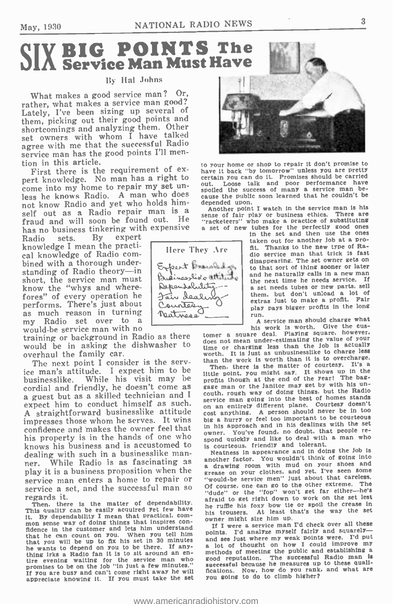# SIX BIG POINTS The

#### **By Hal Johns**

What makes a good service man? Or, rather, what makes a service man good? Lately, I've been sizing up several of them, picking out their good points and shortcomings and analyzing them. Other set owners with whom I have talked agree with me that the successful Radio service man has the good points I'll men-<br>tion in this article.<br>First there is the requirement of ex-

First there is the requirement of ex-<br>pert knowledge. No man has a right to cretain you can do it. Promises should be carried<br>come into my home to repair my set un-<br>less he knows Radio. A man who does<br>as the knows Radio. not know Radio and yet who holds himself out as a Radio repair man is a hotter point I watch in the service man is his<br>self out as a Radio repair man is a sance of fair play or business ethics. There are fraud and will soon be found out. He  $\frac{3}{12}$  reached the symbological particle of substituting<br>has no business tinkering with expensive a set of new tubes for the perfectly good ones

has no business tinkering with expensive<br>Radio sets. By expert Radio sets. By expert knowledge I mean the practical knowledge of Radio com- bined with a thorough underbined with a thorough under-<br>standing of Radio theory—in Free pressled as<br>short, the service man must. Quainees like utility short, the service man must know the "whys and wherefores" of every operation he<br>performs. There's just about Counter performs. There's just about Counted<br>as much reason in turning patroon as much reason in turning<br>my Radio set over to a

would be service man with no<br>training or background in Radio as there would be in asking the dishwasher to does no<br>overhaul the family car. overhaul the family car.<br>The next point I consider is the serv-

The next point I consider is the serv-<br>ice man's attitude. I expect him to be Then, there is the matter of courtesy. It's a businesslike. While his visit may be  $\frac{1}{100}$  high at the end of the year! The base-<br>cordial and friendly, he doesn't come as gaze man or the jantor may set by with his una guest but as a skilled technician and I couth, rough way of doing this stands<br>expect him to conduct himself as such.<br>an an entirely different plane. Courtesy doesn't expect him to conduct himself as such. A straightforward businesslike attitude cost anything. A person should never be in too impresses those whom he serves. It wins big a hurry or feel too important to be courteous impresses those whom he serves. It wins big a hurry or feel too important to be courtedus confidence and makes the owner feel that  $\frac{1}{10}$  in his approach and in ins weaklike the people re-<br>his property is in the hands of one who spond quickly and like to deal with a man who his property is in the hands of one who we will be all the to deal with<br>knows his business and is accustomed to is courteous, friendly and tolerant. knows his business and is accustomed to is courteous, friendly and tolerant.<br>dealing with such in a businesslike man-<br>Neatness in appearance and in doing the job is dealing with such in a businesslike man-<br>ner. While Radio is as fascinating as play it is a business proposition when the service man enters a home to repair or service a set, and the successful man so regards it.

Then, there is the matter of dependability. This quality can be easily acquired yet few have<br>it. By dependability I mean that practical, com-<br> $\frac{1}{2}$  bis trouses. At least that  $\frac{1}{2}$  as the high size him up. the By dependability I mean that practical, com-<br>
mon sense way of doing things that inspires con-<br>
mon sense way of doing things that inspires con-<br>
fidence in the customer and lets him understand<br>
that he can count on yo thing irks a Radio fan it is to sit around an en-<br>tire evening waiting for the service man who go<br>promises to be on the job "in just a few minutes." If You are busy and can't come right away he will appreciate knowing It. If You must take the set

![](_page_2_Picture_10.jpeg)

to your home or shop to repair it don't promise to out. Loose talk and poor performance have<br>spoiled the success of many a service man because the public soon learned that he couldn't be-

The sense of fair play or business ethics. There are<br>ensive a set of new tubes for the perfective good ones<br>in the set and then use the ones<br>taken out for another job at a pro-<br>Here They Are fit. Thanks to the new type of

fit. Thanks to the new type of Radio service man that trick is fast<br>disappearing. The set owner gets on to that sort of thing sooner or later<br>and he naturally calls in a new man the next time he needs service. If a set needs tubes or new parts, sell them, but don't unload a lot of extras Just to make a profit. Fair play pays bigger profits in the long run.

<sup>A</sup>service man should charge what his work is worth. Give the cus-<br>tomer a square deal. Playing square, however.

does not mean under -estimating the value of your time or charging less than the Job is actually It is just as unbusinesslike to charge less than the work is worth than it is to overcharge.

Then. there is the matter of courtesy. It's a<br>Then. there is the matter of courtesy. It's a<br>little point, you might say. It shows up in the<br>profits though at the end of the year! The baggage man or the Janitor may get by with his couth, rough way of doing things, but the Radio<br>service man going into the best of homes stands cost anything. A person should never be in too owner. You've found, no doubt, that people re-

While Radio is as fascinating as another factor. You wouldn't think of some model another factor. You wouldn't think of going into grease on your clothes. and yet. I've seen some "would -be service men" Just about that careless. Of course, one can go to the other extreme. The "dude" or the "fop" won't get far either-he's afraid to get right down to work on the set lest he ruffle his foxy bow tie or spoil the crease in his trousers. At least that's the way the set

owner might size him up.<br>If I were a service man I'd check over all these<br>points. I'd analyze myself fairly and squarely points. I and see just where my weak points were. I'd put<br>a lot of thought on how I could improve my methods of meeting the public and establishing a good reputation. The successful Radio man is successful because he measures up to these qualifications. Now. how do You rank, and what are You going to do to climb higher?

![](_page_2_Picture_19.jpeg)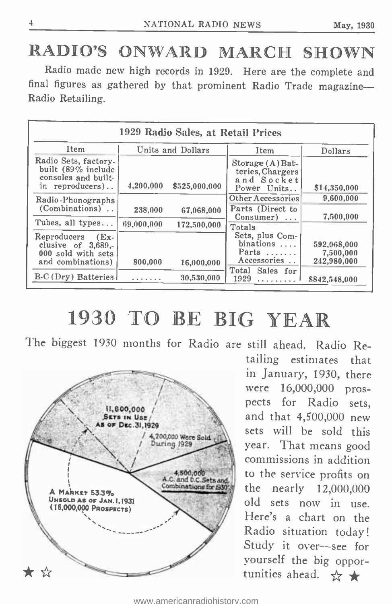## RADIO'S ONWARD MARCH SHOWN

Radio made new high records in 1929. Here are the complete and final figures as gathered by that prominent Radio Trade magazine-Radio Retailing.

|                                                                                               |                   | 1929 Radio Sales, at Retail Prices |                                                                       |                                         |
|-----------------------------------------------------------------------------------------------|-------------------|------------------------------------|-----------------------------------------------------------------------|-----------------------------------------|
| Item                                                                                          | Units and Dollars |                                    | Item                                                                  | Dollars                                 |
| Radio Sets, factory-<br>built (89% include<br>consoles and built-<br>in reproducers)          | 4,200,000         | \$525,000,000                      | Storage(A) Bat<br>teries, Chargers<br>and Socket<br>Power Units       | \$14,350,000                            |
| Radio-Phonographs                                                                             |                   |                                    | Other Accessories                                                     | 9,600,000                               |
| (Combinations).                                                                               | 238,000           | 67.068.000                         | Parts (Direct to<br>$Consumer)$                                       | 7,500,000                               |
| Tubes, all types                                                                              | 69,000,000        | 172,500,000                        | Totals                                                                |                                         |
| Reproducers<br>$E_{\rm X}$<br>clusive of $3,689$ .<br>000 sold with sets<br>and combinations) | 800,000           | 16,000,000                         | Sets, plus Com-<br>binations $\ldots$<br>Parts $\dots$<br>Accessories | 592,068,000<br>7,500,000<br>242,980,000 |
| B-C (Dry) Batteries                                                                           | .                 | 30,530,000                         | Total<br>Sales for<br>1929<br>.                                       | \$842,548,000                           |

# 1930 TO BE BIG YEAR

The biggest 1930 months for Radio are still ahead. Radio Re-

![](_page_3_Figure_7.jpeg)

tailing estimates that in January, 1930, there were 16,000,000 prospects for Radio sets, and that 4,500,000 new sets will be sold this year. That means good commissions in addition to the service profits on the nearly 12,000,000 old sets now in use. Here's a chart on the Radio situation today! Study it over-see for yourself the big oppor-<br>tunities ahead.  $\frac{A}{A}$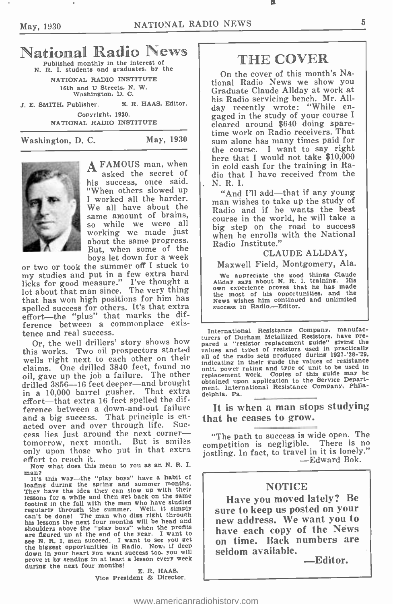# National Radio News

N. R. I. students and graduates, by the

NATIONAL RADIO INSTITUTE 16th and U Streets, N. W. Washington, D. C.

J. E. SMITH, Publisher. E. R. HAAS, Editor. Copyright, 1930.

NATIONAL RADIO INSTITUTE

Washington, D. C. May, 1930

![](_page_4_Picture_9.jpeg)

A FAMOUS man, when asked the secret of his success, once said. "When others slowed up <sup>I</sup>worked all the harder. We all have about the same amount of brains, so while we were all about the same progress. But, when some of the

or two or took the summer off I stuck to my studies and put in a few extra hard licks for good measure." I've thought a lot about that man since. The very thing that has won high positions for him has<br>speaking the state wishes with the product success him continue<br>success in Radio.—Editor. spelled success for others. It's that extra effort—the "plus" that marks the difference between a commonplace exis tence and real success.

Or, the well drillers' story shows how this works. Two oil prospectors started wells right next to each other on their all of claims. One drilled 3840 feet, found no main<br>oil, gave up the job a failure. The other replacement oil, gave up the job a failure. The other<br>drilled 3856--16 feet deeper-and brought in a 10,000 barrel gusher. That extra effort-that extra 16 feet spelled the difference between a down-and-out failure<br>and a big success. That principle is enacted over and over through life. Suc-<br>cess lies just around the next corner-<br>tomorrow next month. But is smiles tomorrow, next month. But is smiles competition is negligible. There is no only upon those who put in that extra iostling. In fact, to travel in it is lonely. only upon those who put in that extra effort to reach it.

Now what does this mean to you as an N. R. I.

man?<br>It's this way—the "play boys" have a habit of loafing during the spring and summer months. They have the idea they can slow up with their lessons for a while and then get back on the same<br>footing in the fall with the men who have studied<br>regularly through the summer. Well, it simply regularly through the summer. can't be done! The man who digs right through his lessons the next four months will be head and shoulders above the "play boys" when the profits show the "played up at the end of the year. I want to see N. R. I. men succeed. I want to see you get the biggest opportunities in Radio. Now, if deep down in your heart you want success too, you will prove it by sending in at least a lesson every week during the next four months!<br> $E. R. HAAAS$ .

Vice President & Director.

### THE COVER

On the cover of this month's National Radio News we show you Graduate Claude Allday at work at his Radio servicing bench. Mr. All-<br>day recently wrote: "While engaged in the study of your course I cleared around \$640 doing spare-<br>time work on Radio receivers. That<br>sum alone has many times paid for the course. I want to say right here that I would not take \$10,000 in cold cash for the training in Radio that I have received from the N. R. I.

so while we were  $\frac{du}{dx}$  big step on the road to success<br>working we made just  $\frac{du}{dx}$  when he annells with the National "And I'll add—that if any young<br>man wishes to take up the study of Radio and if he wants the best<br>course in the world, he will take a when he enrolls with the National Radio Institute."

#### CLAUDE ALLDAY,

Maxwell Field, Montgomery, Ala.

We appreciate the good things Claude<br>
Allday says about N. R. I. training. His<br>
own experience proves that he has made the most of his opportunities, and the News wishes him continued and unlimited

International Resistance Company, manufacturers of Durham Metallized Resistors, have pre-<br>pared a "resistor replacement guide" giving the<br>values and types of resistors used in practically<br>next parameters all of the radio sets produced during 1927-'28-'29, indicating in their guide the values of resistance unit. power rating and type of unit to be used in replacement work. Copies of this guide may be obtained upon application to the Service Department. International Resistance Company, Philadelphia, Pa.

It is when a man stops studying that he ceases to grow.

"The path to success is wide open. The competition is negligible. There is no<br>jostling. In fact, to travel in it is lonely."<br>-Edward Bok.

#### NOTICE

Have you moved lately? Be sure to keep us posted on your new address. We want you to have each copy of the News on time. Back numbers are seldom available.<br>Editor.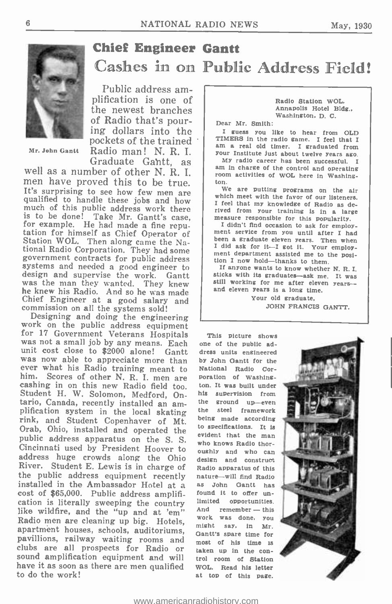![](_page_5_Picture_2.jpeg)

Mr. John Gantt

### Chief Engineer Gantt Cashes in on Public Address Field!

Public address amplification is one of the newest branches<br>of Radio that's nour-OI KAGIO THAT'S pour-<br>ing dollars into the ignoss you like to hear from OLD<br>nockets of the trained : TIMERS in the radio game. I feel that I pockets of the trained Radio man! N. R. I.

well as a number of other N. R. I.  $\parallel$   $\frac{am \text{ in } \text{charge of the control and operating}}{\text{room.} \text{ at it of the two.}}$ It's surprising to see how few men are qualified to handle these jobs and how much of this public address work there much of this public address work there<br>
is to be done! Take Mr. Gantt's case,<br>
is to be done! Take Mr. Gantt's case,<br>
for example. He had made a fine repu-<br>
fudint for this popularity.<br>
tation for himself as Chief Operato systems and needed a good engineer to design and supervise the work. Gantt was the man they wanted. They knew he knew his Radio. And so he was made Chief Engineer at a good salary and commission on all the  $s$ ystems sold!<br>Designing and doing the engineering

work on the public address equipment<br>for 17 Government Veterans Hospitals This picture shows<br>was not a small job by any means. Each one of the public ad-<br>unit cost close to \$2000 alone! Gantt dress units engineered was now able to appreciate more than ever what his Radio training meant to<br>him. Scores of other N. R. I. men are cashing in on this new Radio field too. ton. It was built under<br>Student H. W. Solomon, Medford, On-<br>tario, Canada, recently installed an am-<br>plification system in the local skating the steel framework<br>rink, and Student Co Orab, Ohio, installed and operated the public address apparatus on the S. S. Cincinnati used by President Hoover to address huge crowds along the Ohio River. Student E. Lewis is in charge of the public address equipment recently<br>installed in the Ambassador Hotel at a<br>cost of \$65,000. Public address amplification is literally sweeping the country limited opportunities.<br>like wildfire, and the "up and at 'em" and remember—this Radio men are cleaning up big. Hotels, work was done, you apartment houses, schools, auditoriums,<br>pavillions, railway waiting rooms and clubs are all prospects for Radio or taken up in the con-<br>sound amplification equipment and will trol room of station have it as soon as there are men qualified to do the work!

Radio Station WOL. Annapolis Hotel Bldg., Washington. D. C.

Kadio man! N. K. 1. | your Institute just about twelve years ago.<br>Graduate Gahtt. as | My radio career has been successful. I I guess you like to hear from OLD am a real old timer. I graduated from My radio career has been successful. I am in charge of the control and operating room activities of WOL here in Washing-<br>ton.

We are putting programs on the air which meet with the favor of our listeners. I feel that my knowledge of Radio as de-

I didn't find occasion to ask for employ-<br>ment service from you until after I had I did ask for it-I got it. Your employ-<br>ment department assisted me to the posi-<br>tion I now hold--thanks to them.<br>I anyone wants to know whether N. R. I.

sticks with its graduates--ask me. It was<br>still working for me after eleven years--<br>and eleven years is a long time.

Your old graduate, JOHN FRANCIS GANTT.

one of the public address units engineered by John Oantt for the National Radio Corporation of Washing ton. It was built under his supervision from the ground up-even the steel framework being made according evident that the man who knows Radio thoroughly and who can design and construct Radio apparatus of this nature -will find Radio as John Oantt has found it to offer unlimited opportunities. work was done, you might say, in Mr. Gantt's spare time for most of his time is trol room of Station WOL. Read his letter at top of this page.

![](_page_5_Picture_16.jpeg)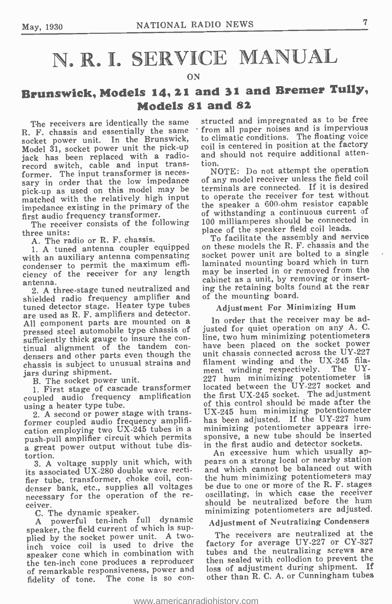# N. R. I. SERVICE MANUAL

#### ON

### Brunswick, Models 14, 21 and 31 and Bremer Tully, Models 81 and 82

Model 31, socket power unit the pick-up coil is centered in position at the factory jack has been replaced with a radio- and should not require additional attenrecord switch, cable and input trans-<br>former. The input transformer is necessary in order that the low impedance pick -up as used on this model may be matched with the relatively high input impedance existing in the primary of the first audio frequency transformer.

The receiver consists of the following three units:

A. The radio or R. F. chassis.

1. A tuned antenna coupler equipped with an auxiliary antenna compensating condenser to permit the maximum effi-ciency of the receiver for any length antenna.

2. A three -stage tuned neutralized and shielded radio frequency amplifier and tuned detector stage. Heater type tubes are used as R. F. amplifiers and detector.<br>All component parts are mounted on a pressed steel automobile type chassis of<br>sufficiently thick gauge to insure the continual alignment of the tandem con-<br>densers and other parts even though the chassis is subject to unusual strains and jars during shipment.

B. The socket power unit.

1. First stage of cascade transformer coupled audio frequency amplification using a heater type tube.

2. A second or power stage with transformer coupled audio frequency amplification employing two UX -245 tubes in a push -pull amplifier circuit which permits a great power output without tube distortion.

3. A voltage supply unit which, with its associated UX-280 double wave rectifier tube, transformer, choke coil, condenser bank, etc., supplies all voltages necessary for the operation of the re-

C. The dynamic speaker.

A powerful ten -inch full dynamic speaker, the field current of which is supplied by the socket power unit. A two-<br>inch voice coil is used to drive the speaker cone which in combination with the ten-inch cone produces a reproducer of remarkable responsiveness, power and fidelity of tone. The cone is so con-

The receivers are identically the same structed and impregnated as to be free<br>R. F. chassis and essentially the same from all paper noises and is impervious. from all paper noises and is impervious<br>to climatic conditions. The floating voice Refloating the Brunswick, to climatic conditions. The floating voice<br>Socket power unit. In the Brunswick, to climatic conditions. The floating voice<br>Model 31, socket power unit the pick-up coil is centered in position at t tion.

NOTE: Do not attempt the operation of any model receiver unless the field coil terminals are connected. If it is desired to operate the receiver for test without the speaker a 600 -ohm resistor capable of withstanding a continuous current of 100 milliamperes should be connected in place of the speaker field coil leads.<br>To facilitate the assembly and service

on these models the R. F. chassis and the socket power unit are bolted to a single laminated mounting board which in turn may be inserted in or removed from the cabinet as a unit, by removing or inserting the retaining bolts found at the rear of the mounting board.

Adjustment For Minimizing Hum

In order that the receiver may be adjusted for quiet operation on any A. C. line, two hum minimizing potentiometers have been placed on the socket power unit chassis connected across the UY -227 filament winding and the UX-245 filament winding respectively. The ÚY-227 hum minimizing potentiometer is located between the  $U\dot{Y}-227$  socket and the first UX -245 socket. The adjustment of this control should bé made after the UX -245 hum minimizing potentiometer has been adjusted. If the UY -227 hum minimizing potentiometer appears irresponsive, a new tube should be inserted in the first audio and detector sockets.

An excessive hum which usually appears on a strong local or nearby station and which cannot be balanced out with the hum minimizing potentiometers may be due to one or more of the R. F. stages oscillating, in which case the receiver should be neutralized before the hum minimizing potentiometers are adjusted.

#### Adjustment of Neutralizing Condensers

The receivers are neutralized at the factory for average UY-227 or CY-327 tubes and the neutralizing screws are then sealed with collodion to prevent the loss of adjustment during shipment. If other than R. C. A. or Cunningham tubes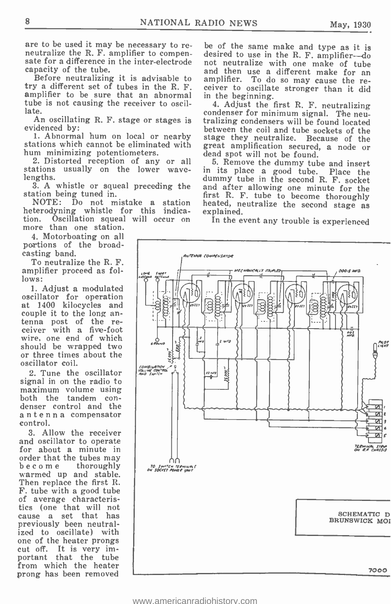are to be used it may be necessary to re-<br>neutralize the R. F. amplifier to compen-<br>sate for a difference in the inter-electrode not neutralize with one make of tube capacity of the tube.

try a different set of tubes in the R. F. amplifier to be sure that an abnormal tube is not causing the receiver to oscillate.

evidenced by:<br>1. Abnormal hum on local or nearby

1. Abnormal hum on local or nearby stage they neutralize. Becausions which cannot be eliminated with great amplification secured<br>hum minimizing potentiometers. dead spot will not be found. hum minimizing potentiometers.

2. Distorted reception of any or all 5. Remove the dummy tub ations usually on the lower wave- in its place a good tube. stations usually on the lower wave-<br>lengths.

station being tuned in.

NOTE: Do not mistake a station heterodyning whistle for this indica-<br>tion. Oscillation squeal will occur on tion. Oscillation squeal will occur on more than one station.

4. Motorboating on all portions of the broadcasting band.

To neutralize the R. F. amplifier proceed as follows:

1. Adjust a modulated oscillator for operation | | at 1400 kilocycles and | couple it to the long antenna post of the receiver with a five -foot wire, one end of which should be wrapped two or three times about the oscillator coil.

2. Tune the oscillator signal in on the radio to maximum volume using<br>both the tandem condenser control and the antenna compensator control.

3. Allow the receiver for about a minute in<br>order that the tubes may become thoroughly<br>warmed up and stable. Then replace the first R. F. tube with a good tube of average characteristics (one that will not cause a set that has previously been neutral-<br>ized to oscillate) with one of the heater prongs cut off. It is very important that the tube from which the heater prong has been removed

pacity of the tube.<br>Before neutralizing it is advisable to samplifier. To do so may couse the rebe of the same make and type as it is amplifier. To do so may cause the receiver to oscillate stronger than it did in the beginning.

te.<br>An oscillating R. F. stage or stages is tralizing condensers will be found located 4. Adjust the first R. F. neutralizing between the coil and tube sockets of the<br>stage they neutralize. Because of the great amplification secured, a node or

ngths. dummy tube in the second R. F. socket<br>3. A whistle or squeal preceding the and after allowing one minute for the<br>ation being tuned in. The first R. F. tube to become thoroughly 5. Remove the dummy tube and insert<br>its place a good tube. Place the heated, neutralize the second stage as explained.

In the event any trouble is experienced

![](_page_7_Figure_18.jpeg)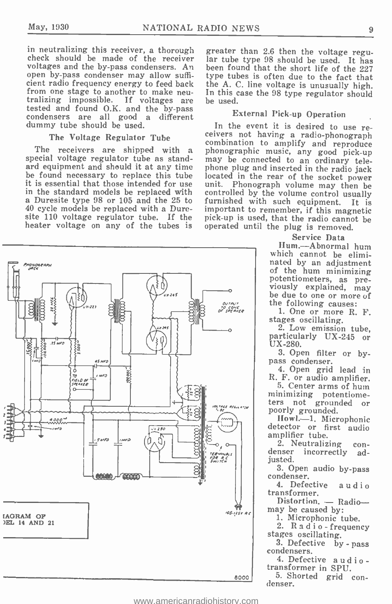in neutralizing this receiver, a thorough greater than 2.6 then the voltage regu-<br>check should be made of the receiver lar tube type 98 should be used. It has voltages and the by-pass condensers. An been found that the short life of the 227 open by-pass condenser may allow suffi-<br>type tubes is often due to the fact that open by -pass condenser may allow sufficient radio frequency energy to feed back the A. C. line voltage is unusually high.<br>from one stage to another to make neu-<br>In this case the 98 type regulator should from one stage to another to make neu-<br>tralizing impossible. If voltages are be tested and found O.K. and the by -pass condensers are all good a different condensers are all good a different<br>dummy tube should be used.

#### The Voltage Regulator Tube

special voltage regulator tube as standard equipment and should it at any time phone plug and inserted in the radio jack<br>be found necessary to replace this tube located in the rear of the socket power be found necessary to replace this tube located in the rear of the socket power<br>it is essential that those intended for use unit. Phonograph volume may then be it is essential that those intended for use unit. Phonograph volume may then be<br>in the standard models be replaced with controlled by the volume control usually<br>a Duresite type 98 or 105 and the 25 to furnished with such e a Duresite type 98 or 105 and the 25 to 40 cycle models be replaced with a Duresite 110 voltage regulator tube. If the heater voltage on any of the tubes is

lar tube type 98 should be used. It has been found that the short life of the 227 the A. C. line voltage is unusually high. be used.

#### External Pick -up Operation

The receivers are shipped with a phonographic music, any good pick-up In the event it is desired to use re-<br>ceivers not having a radio-phonograph<br>combination to amplify and reproduce may be connected to an ordinary telefurnished with such equipment. It is<br>important to remember, if this magnetic<br>pick-up is used, that the radio cannot be<br>operated until the plug is removed.

#### Service Data

Hum. -Abnormal hum which cannot be eliminated by an adjustment<br>of the hum minimizing<br>potentiometers, as pre-<br>viously explained, may<br>be due to one or more of<br>the following causes:

1. One or more R. F.

stages oscillating.<br>2. Low emission tube. particularly UX-245 or UX-280.

3. Open filter or bypass condenser.

4. Open grid lead in R. F. or audio amplifier. 5. Center arms of hum

minimizing potentiome-<br>ters not grounded or<br>poorly grounded.<br>Howl.--1. Microphonic

detector or first audio amplifier tube.

2. Neutralizing con-<br>denser incorrectly adjusted.

3. Open audio by -pass condenser.

4. Defective audio transformer.

Distortion.  $-$  Radio-<br>may be caused by:

1. Microphonic tube.

2. R a d i o- frequency stages oscillating.

3. Defective by - pass condensers.

4. Defective audio - transformer in SPU.

eoool 5. Shorted grid con-<br>denser.

![](_page_8_Figure_25.jpeg)

![](_page_8_Figure_26.jpeg)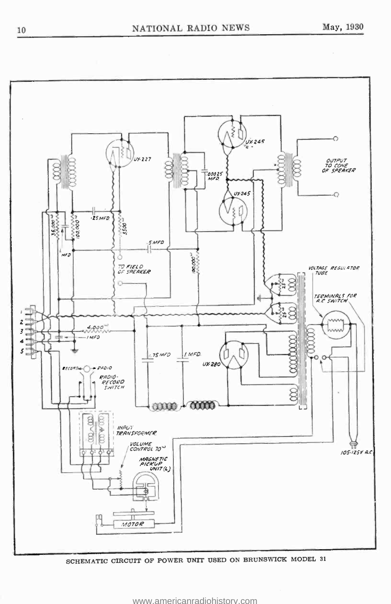![](_page_9_Figure_2.jpeg)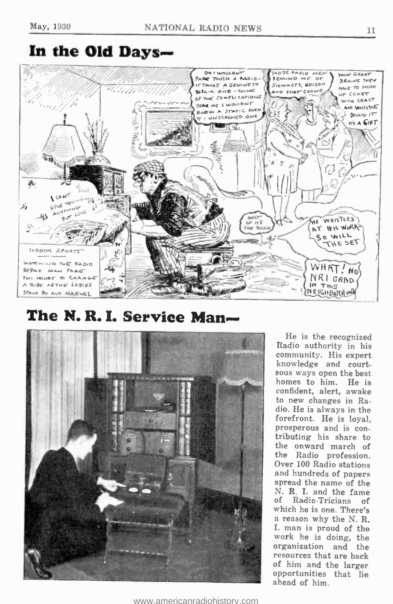### In the Old Days

![](_page_10_Figure_3.jpeg)

The N.R.I. Service Man-

![](_page_10_Picture_5.jpeg)

He is the recognized Radio authority in his<br>community. His expert knowledge and court-<br>eous ways open the best homes to him. He is confident, alert, awake to new changes in Radio. He is always in the forefront. He is loyal, prosperous and is con- tributing his share to the onward march of the Radio profession. Over 100 Radio stations and hundreds of papers spread the name of the N. R. I. and the fame<br>of Radio-Tricians of of Radio-Tricians of<br>which he is one. There's a reason why the N. R. I. man is proud of the work he is doing, the organization and the resources that are back<br>of him and the larger opportunities that lie ahead of him.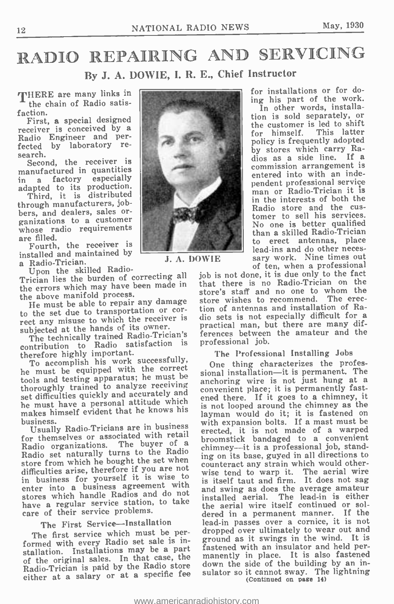### RADIO REPAIRING AND SERVICING By J. A. DOWIE, I. R. E., Chief Instructor

THERE are many links in the chain of Radio satisfaction.

First, a special designed<br>receiver is conceived by a Radio Engineer and perfected by laboratory research.

Second, the receiver is manufactured in quantities in a factory especially adapted to its production.

Third, it is distributed through manufacturers, jobbers, and dealers, sales or-<br>ganizations to a customer whose radio requirements are filled.

Fourth, the receiver is installed and maintained by<br>a Radio-Trician.<br>Upon the skilled Radio-

Trician lies the burden of correcting all the errors which may have been made in the above manifold process.

The must be able to repair any damage<br>to the set due to transportation or cor-<br>tion of antennas and installation

The technically trained Radio-Trician's contribution to Radio satisfaction is therefore highly important.

To accomplish his work successfully, he must be equipped with the correct tools and testing apparatus; he must be thoroughly trained to analyze receiving set difficulties quickly and accurately and he must have a personal attitude which makes himself evident that he knows his

business. Usually Radio -Tricians are in business for themselves or associated with retail<br>Radio organizations. The buyer of a Radio organizations. The buyer of a<br>Radio set naturally turns to the Radio<br>ing store from which he bought the set when  $\frac{mg}{\text{col}}$ difficulties arise, therefore if you are not in business for yourself it is wise to enter into a business agreement with and enter into a business also and do not and<br>stores which handle Radios and do not ins have a regular service station, to take care of their service problems.

#### The First Service-Installation

The first service which must be performed with every Radio set sale is installation. Installations may be a part of the original sales. In that case, the man<br>of the original sales. In the Podie steps dow Radio-Trician is paid by the Radio store do either at a salary or at a specific fee

![](_page_11_Picture_16.jpeg)

J. A. DOWIE

for installations or for doing his part of the work.

In other words, installation is sold separately, or the customer is led to shift for himself. policy is frequently adopted by stores which carry Ra-dios as a side line. If a commission arrangement is commission arrangement is<br>entered into with an independent professional service man or Radio -Trician it is in the interests of both the Radio store and the cus-<br>tomer to sell his services. No one is better qualified than a skilled Radio-Trician to erect antennas, place lead -ins and do other neces- sary work. Nine times out of ten, when a professional

to the set due to transportation. The set of the set of the receiver is dio sets is not especially difficult for a subjected at the hands of its owner. practical man, but there are many difjob is not done, it is due only to the fact that there is no Radio-Trician on the store's staff and no one to whom the store wishes to recommend. The erection of antennas and installation of Rapractical man, but there are many differences between the amateur and the professional job.

#### The Professional Installing Jobs

One thing characterizes the professional installation-it is permanent. The anchoring wire is not just hung at a convenient place; it is permanently fastened there. If it goes to a chimney, it is not looped around the chimney as the layman would do it; it is fastened on with expansion bolts. If a mast must be erected, it is not made of a warped broomstick bandaged to a convenient chimney--it is a professional job, standing on its base, guyed in all directions to counteract any strain which would otherwise tend to warp it. The aerial wire is itself taut and firm. It does not sag and swing as does the average amateur installed aerial. The lead-in is either the aerial wire itself continued or soldered in a permanent manner. If the lead-in passes over a cornice, it is not dropped over ultimately to wear out and ground as it swings in the wind. It is fastened with an insulator and held permanently in place. It is also fastened down the side of the building by an insulator so it cannot sway. The lightning (Continued on page 14)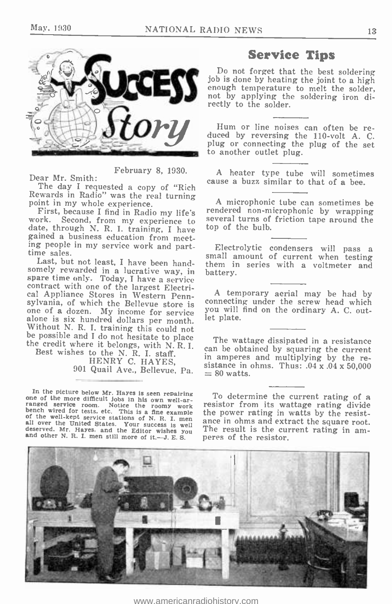![](_page_12_Picture_2.jpeg)

February 8, 1930.

Dear Mr. Smith:

The day I requested a copy of "Rich Rewards in Radio" was the real turning

point in my whole experience.<br>First, because I find in Radio my life's<br>work. Second, from my experience to<br>date, through N. R. I. training, I have<br>gained a business education from meet-<br>ing people in my service work and pa

Last, but not least, I have been hand-<br>somely rewarded in a lucrative way, in bat<br>spare time only. Today, I have a service contract with one of the largest Electrical Appliance Stores in Western Penn-<br>sylvania, of which the Bellevue store is<br>one of a dozen. My income for service<br>alone is six hundred dollars per month.<br>Without N. R. I. training

HENRY C. HAYES, 901 Quail Ave., Bellevue, Pa.  $= 80$  watts.

In the picture below Mr. Haves is seen repairing<br>one of the more difficult jobs in his own well-ar-<br>ranged service room. Notice the roomy work<br>bench wired for tests, etc. This is a fine example<br> $\delta$  of the well-kept servi

#### Service Tips

Do not forget that the best soldering job is done by heating the joint to a high enough temperature to melt the solder, not by applying the soldering iron di- rectly to the solder.

Hum or line noises can often be reduced by reversing the 110-volt A. C. plug or connecting the plug of the set to another outlet plug.

A heater type tube will sometimes cause a buzz similar to that of a bee.

<sup>A</sup>microphonic tube can sometimes be rendered non -microphonic by wrapping several turns of friction tape around the top of the bulb.

Electrolytic condensers will pass a small amount of current when testing them in series with a voltmeter and battery.

<sup>A</sup>temporary aerial may be had by connecting under the screw head which you will find on the ordinary A. C. outlet plate.

The wattage dissipated in a resistance can be obtained by squaring the current in amperes and multiplying by the resistance in ohms. Thus:  $.04 \times 0.04 \times 50.000$ 

To determine the current rating of a resistor from its wattage rating divide ance in ohms and extract the square root. The result is the current rating in am- peres of the resistor.

![](_page_12_Picture_19.jpeg)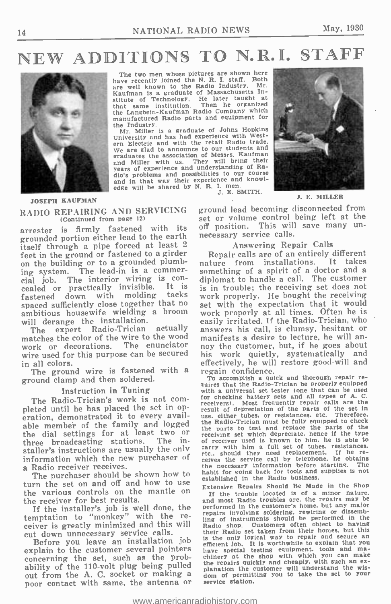### NEW ADDITIONS TO N.R.I. STAFF

![](_page_13_Picture_3.jpeg)

The two men whose pictures are shown here have recently joined the N. R. I. staff. Both are well known to the Radio Industry. Mr. are well known to the Radio Industry. Mr.<br>Kaufman is a graduate of Massachusetts Institute of Technology. He later taught at that same institution. Then he organized that same institution. Then he organized the Langbein- Kaufman Radio Company which manufactured Radio parts and equipment for the Industry.

Mr. Miller is a graduate of Johns Hopkins<br>University and has had experience with Western Electric and with the retail Radio trade. Figure are slad to announce to our students and<br>graduates the association of Messrs. Kaufman<br>and Miller with us. They will bring their and Miller with us. They will bring their years of experience and understanding of Radio's problems and possibilities to our course and in that way their experience and knowledge will be shared by N. R. I. men.<br> $J. E. SMITH.$ 

![](_page_13_Picture_6.jpeg)

J. E. MILLER

#### JOSEPH KAUFMAN

RADIO REPAIRING AND SERVICING (Continued from page 12)

arrester is firmly fastened with its off position. This will grounded portion either lead to the earth itself through a pipe forced at least <sup>2</sup> feet in the ground or fastened to a girder<br>on the building or to a grounded plumb-<br>ing system. The lead-in is a commercial job. The interior wiring is con-<br>cial job. The customer caled or practically invisible. It is is in trouble; the receiving set does not<br>factored down with molding tacks work properly. He bought the receiving fastened down with molding tacks<br>spaced\_sufficiently\_close\_together\_that\_no ambitious housewife wielding a broom will derange the installation.<br>The expert Radio-Trician actually

matches the color of the wire to the wood manifests a desire to lecture, he will an-<br>work or decorations. The enunciator noy the customer, but, if he goes about work or decorations. The enunciator wire used for this purpose can be secured in all colors.

The ground wire is fastened with a ground clamp and then soldered.

Instruction in Tuning<br>The Radio-Trician's work is not completed until he has placed the set in operation, demonstrated it to every available member of the family and logged the dial settings for at least two or three broadcasting stations. The installer's instructions are usually the only<br>information which the new purchaser of etc., should they need replacement. If he re-<br>information which the new purchaser of ceives the service call by telephone. he obtains information which the new purchaser of a Radio receiver receives.

The purchaser should be shown how to<br>turn the set on and off and how to use the various controls on the mantle on<br>the receiver for best results.

If the installer's job is well done, the temptation to "monkey" with the receiver is greatly minimized and this will cut down unnecessary service calls.

explain to the customer several pointers concerning the set, such as the probconcerning the set, such as the proof the repairs quickly and cheaply, with such an ex-<br>
ability of the 110-volt plug being pulled the repairs quickly and cheaply, with such an ex-<br>
out from the A. C. socket or making a d poor contact with same, the antenna or

ground lead becoming disconnected from set or volume control being left at the off position. This will save many un- necessary service calls.

#### Answering Repair Calls

The expert Radio-Trician actually answers his call, is clumsy, hesitant or atches the color of the wire to the wood manifests a desire to lecture, he will an-Repair calls are of an entirely different<br>ture from installations. It takes nature from installations. something of a spirit of a doctor and a is in trouble; the receiving set does not work properly. He bought the receiving set with the expectation that it would work properly at all times. Often he is easily irritated. If the Radio-Trician, who answers his call, is clumsy, hesitant or his work quietly, systematically and effectively, he will restore good -will and regain confidence.

To accomplish a quick and thorough repair re- quires that the Radio-Trician be properly equipped with a universal set tester (one that can be used for checking battery sets and all types of A. C. receivers). Most frequently repair calls are the result of depreciation of the parts of the set in<br>use, either tubes, or resistances, etc. Therefore,<br>the Radio-Trician must be fully equipped to check<br>the parts to test and replace the parts of the<br>receiving set which depr of receiver used is known to him. he is able to carry with him a full set of tubes, resistances.<br>etc.. should they need replacement. If he re-<br>ceives the service call by telephone. he obtains<br> $\sum$  The the necessary information before starting. habit for going back for tools and supplies is not established in the Radio business.

t down unnecessary service cans.<br>Before you leave an installation job state only logical way to repair and secure an Extensive Repairs Should Be Made in the Shop If the trouble located is of a minor nature. and most Radio troubles are. the repairs may be performed in the customer's home. but any major repairs involving soldering, rewiring or dissemb-ling of instruments should be performed in the Radio shop. Customers often object to having their Radio set taken from their homes. but this is the only logical way to repair and secure an efficient job. It is worthwhile to explain that you have special testing equipment. tools and ma- chinery at the shop with which you can make the repairs quickly and cheaply, with such an ex- planation the customer will understand the wis-dom of permitting you to take the set to your service station.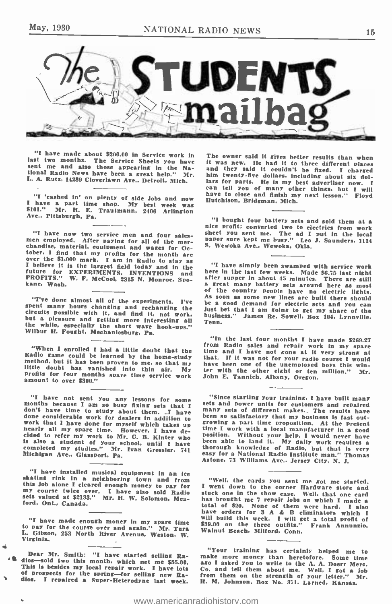![](_page_14_Picture_2.jpeg)

"I have made about \$200.00 in Service work in<br>last two months. The Service Sheets you have<br>sent me and also those appearing in the National Radio News have been a great help." Mr.<br>L. A. Rutz, 14289 Cloverlawn Ave., Detroi

"I 'cashed in' on plenty of side Jobs and now I have a part time shop. My best week was \$101." Mr. H. E. Trautmann. 2406 Arlington Ave., Pittsburgh, Pa.

"I have now two service men and four sales-<br>men employed. After paying for all of the mer-<br>chandise, material, equipment and wases for Oc-<br>tober. I find that my profits for the month are<br> $over$  the S1,000 mark. I am in Radio

"I've done almost all of the experiments. I've spent many hours changing and rechanging the circuits possible with it, and find it, not work, but a pleasure and getting more interesting all but a while, especially the sho

"When I enrolled I had a little doubt that the Radio game could be learned by the home-study method, but it has been proven to me, so that my little doubt has vanished into thin air. My profits for four months spare time

"I have not sent you any lessons for some months because I am so busy fixing sets that I don't have time to study about them. I have done considerable work for dealers in addition to work that I have done for myself which

"I have installed musical equipment in an ice<br>skating rink in a neighboring town and from "Well, the cards you sent me got me started,<br>this job alone I cleared enough money to pay for I went down to the corner Hardware sto my course twice over. I have also sold Radio sets valued at \$2133." Mr. H. W. Solomon, Mea- ford, Ont., Canada.

"I have made enough money in my spare time to pay for the course over and again." Mr. Tura L. Gibson, 253 North River Avenue. Weston, W. Virginia. <sup>i</sup>

This is besides my local repair work. I have lots and a search of the control of the search of prospects of procedure of the search of procedure of the search of property of the search of property of the search of prospect

The owner said it gives better results than when<br>it was new. He had it to three different places<br>and they said it couldn't be fixed. I charged<br>him twenty-five dollars, including about six dol-<br>lars for parts. He is my bes

"I bought four battery sets and sold them at a nice profit; converted two to electrics from work sheet you sent me. The ad I put in the local paper sure kept me busy." Leo J. Saunders, 1114<br>S. Wewoka Ave., Wewoka, Okla.

"I have simply been swamped with service work<br>here in the last few weeks. Made \$6.75 last night<br>after supper in about 45 minutes. There are still<br>a great many battery sets around here as most<br>of the country people have no be a good demand for electric sets and you can Just bet that I am going to get my share of the business." James Re. Sowell, Box 104, Lynnville, Tenn.

"In the last four months I have made \$269.27<br>from Radio sales and repair work in my spare<br>time and I have not zone at it very strong a<br>that. If it was not for your radio course I would<br>have been one of the unemployed boys

"Since starting your training, I have built many<br>sets and power units for customers and repaired<br>many sets of different makes... The results have<br>been so satisfactory that my business is fast out-<br>growing a part time prop

"Well, the cards you sent me *kot* me started.<br>I went down to the corner Hardware store and<br>stuck one in the show case. Well, that one card<br>has brought me 7 repair jobs on which I made a<br>bato total of \$20. None of them we \$39.00 on the three outfits." Frank Annunzio, Walnut Beach, Milford, Conn.

"Your training has certainly helped me to make more money than heretofore. Some time Co. and tell them about me. Well. I got a job from them on the strength of your letter." Mr.